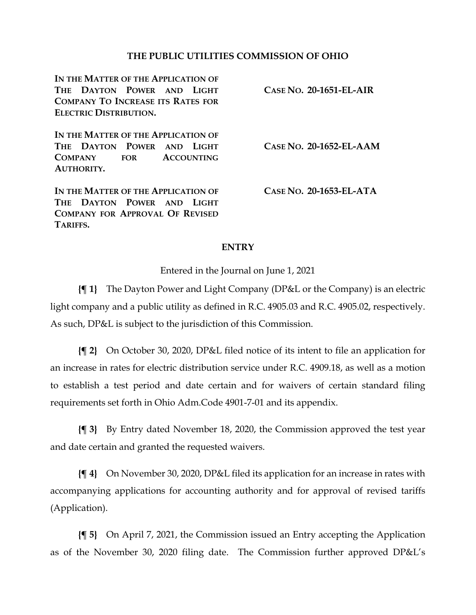### **THE PUBLIC UTILITIES COMMISSION OF OHIO**

**IN THE MATTER OF THE APPLICATION OF THE DAYTON POWER AND LIGHT COMPANY TO INCREASE ITS RATES FOR ELECTRIC DISTRIBUTION.**

**CASE NO. 20-1651-EL-AIR**

**IN THE MATTER OF THE APPLICATION OF THE DAYTON POWER AND LIGHT COMPANY FOR ACCOUNTING AUTHORITY.**

**IN THE MATTER OF THE APPLICATION OF THE DAYTON POWER AND LIGHT COMPANY FOR APPROVAL OF REVISED TARIFFS.**

**CASE NO. 20-1652-EL-AAM**

**CASE NO. 20-1653-EL-ATA**

#### **ENTRY**

Entered in the Journal on June 1, 2021

**{¶ 1}** The Dayton Power and Light Company (DP&L or the Company) is an electric light company and a public utility as defined in R.C. 4905.03 and R.C. 4905.02, respectively. As such, DP&L is subject to the jurisdiction of this Commission.

**{¶ 2}** On October 30, 2020, DP&L filed notice of its intent to file an application for an increase in rates for electric distribution service under R.C. 4909.18, as well as a motion to establish a test period and date certain and for waivers of certain standard filing requirements set forth in Ohio Adm.Code 4901-7-01 and its appendix.

**{¶ 3}** By Entry dated November 18, 2020, the Commission approved the test year and date certain and granted the requested waivers.

**{¶ 4}** On November 30, 2020, DP&L filed its application for an increase in rates with accompanying applications for accounting authority and for approval of revised tariffs (Application).

**{¶ 5}** On April 7, 2021, the Commission issued an Entry accepting the Application as of the November 30, 2020 filing date. The Commission further approved DP&L's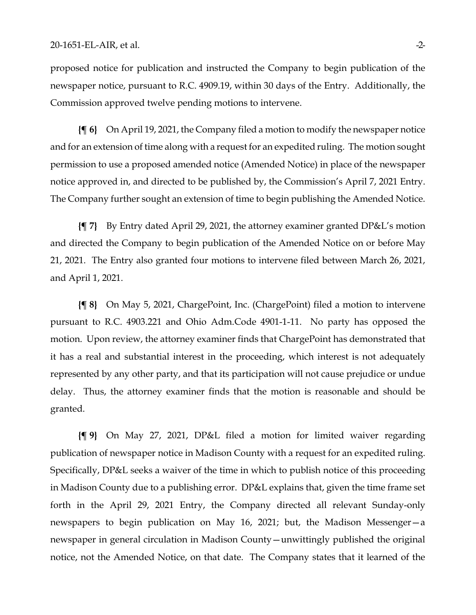proposed notice for publication and instructed the Company to begin publication of the newspaper notice, pursuant to R.C. 4909.19, within 30 days of the Entry. Additionally, the Commission approved twelve pending motions to intervene.

**{¶ 6}** On April 19, 2021, the Company filed a motion to modify the newspaper notice and for an extension of time along with a request for an expedited ruling. The motion sought permission to use a proposed amended notice (Amended Notice) in place of the newspaper notice approved in, and directed to be published by, the Commission's April 7, 2021 Entry. The Company further sought an extension of time to begin publishing the Amended Notice.

**{¶ 7}** By Entry dated April 29, 2021, the attorney examiner granted DP&L's motion and directed the Company to begin publication of the Amended Notice on or before May 21, 2021. The Entry also granted four motions to intervene filed between March 26, 2021, and April 1, 2021.

**{¶ 8}** On May 5, 2021, ChargePoint, Inc. (ChargePoint) filed a motion to intervene pursuant to R.C. 4903.221 and Ohio Adm.Code 4901-1-11. No party has opposed the motion. Upon review, the attorney examiner finds that ChargePoint has demonstrated that it has a real and substantial interest in the proceeding, which interest is not adequately represented by any other party, and that its participation will not cause prejudice or undue delay. Thus, the attorney examiner finds that the motion is reasonable and should be granted.

**{¶ 9}** On May 27, 2021, DP&L filed a motion for limited waiver regarding publication of newspaper notice in Madison County with a request for an expedited ruling. Specifically, DP&L seeks a waiver of the time in which to publish notice of this proceeding in Madison County due to a publishing error. DP&L explains that, given the time frame set forth in the April 29, 2021 Entry, the Company directed all relevant Sunday-only newspapers to begin publication on May 16, 2021; but, the Madison Messenger—a newspaper in general circulation in Madison County—unwittingly published the original notice, not the Amended Notice, on that date. The Company states that it learned of the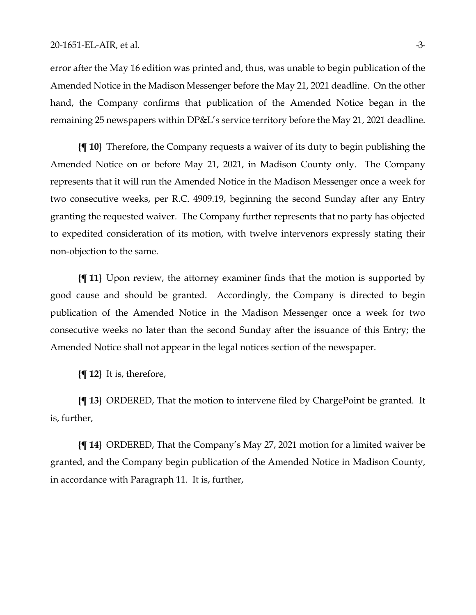error after the May 16 edition was printed and, thus, was unable to begin publication of the Amended Notice in the Madison Messenger before the May 21, 2021 deadline. On the other hand, the Company confirms that publication of the Amended Notice began in the remaining 25 newspapers within DP&L's service territory before the May 21, 2021 deadline.

**{¶ 10}** Therefore, the Company requests a waiver of its duty to begin publishing the Amended Notice on or before May 21, 2021, in Madison County only. The Company represents that it will run the Amended Notice in the Madison Messenger once a week for two consecutive weeks, per R.C. 4909.19, beginning the second Sunday after any Entry granting the requested waiver. The Company further represents that no party has objected to expedited consideration of its motion, with twelve intervenors expressly stating their non-objection to the same.

**{¶ 11}** Upon review, the attorney examiner finds that the motion is supported by good cause and should be granted. Accordingly, the Company is directed to begin publication of the Amended Notice in the Madison Messenger once a week for two consecutive weeks no later than the second Sunday after the issuance of this Entry; the Amended Notice shall not appear in the legal notices section of the newspaper.

**{¶ 12}** It is, therefore,

**{¶ 13}** ORDERED, That the motion to intervene filed by ChargePoint be granted. It is, further,

**{¶ 14}** ORDERED, That the Company's May 27, 2021 motion for a limited waiver be granted, and the Company begin publication of the Amended Notice in Madison County, in accordance with Paragraph 11. It is, further,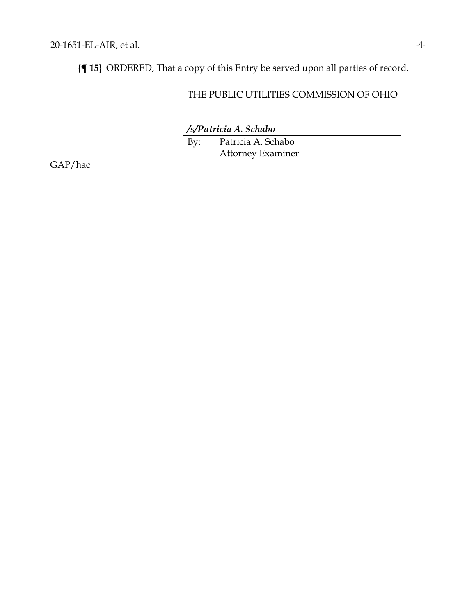**{¶ 15}** ORDERED, That a copy of this Entry be served upon all parties of record.

## THE PUBLIC UTILITIES COMMISSION OF OHIO

*/s/Patricia A. Schabo*

By: Patricia A. Schabo Attorney Examiner

GAP/hac